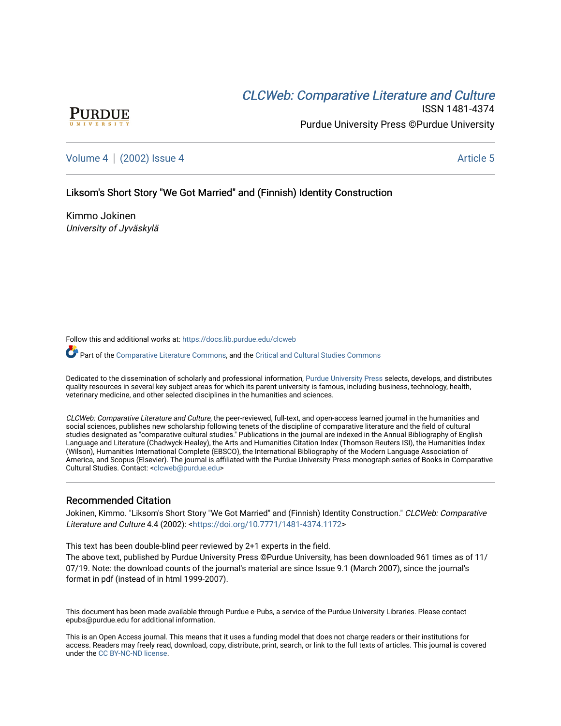# CLCW[eb: Comparative Liter](https://docs.lib.purdue.edu/clcweb)ature and Culture



ISSN 1481-4374 Purdue University Press ©Purdue University

[Volume 4](https://docs.lib.purdue.edu/clcweb/vol4) | [\(2002\) Issue 4](https://docs.lib.purdue.edu/clcweb/vol4/iss4) Article 5

### Liksom's Short Story "We Got Married" and (Finnish) Identity Construction

Kimmo Jokinen University of Jyväskylä

Follow this and additional works at: [https://docs.lib.purdue.edu/clcweb](https://docs.lib.purdue.edu/clcweb?utm_source=docs.lib.purdue.edu%2Fclcweb%2Fvol4%2Fiss4%2F5&utm_medium=PDF&utm_campaign=PDFCoverPages)

Part of the [Comparative Literature Commons,](http://network.bepress.com/hgg/discipline/454?utm_source=docs.lib.purdue.edu%2Fclcweb%2Fvol4%2Fiss4%2F5&utm_medium=PDF&utm_campaign=PDFCoverPages) and the Critical and Cultural Studies Commons

Dedicated to the dissemination of scholarly and professional information, [Purdue University Press](http://www.thepress.purdue.edu/) selects, develops, and distributes quality resources in several key subject areas for which its parent university is famous, including business, technology, health, veterinary medicine, and other selected disciplines in the humanities and sciences.

CLCWeb: Comparative Literature and Culture, the peer-reviewed, full-text, and open-access learned journal in the humanities and social sciences, publishes new scholarship following tenets of the discipline of comparative literature and the field of cultural studies designated as "comparative cultural studies." Publications in the journal are indexed in the Annual Bibliography of English Language and Literature (Chadwyck-Healey), the Arts and Humanities Citation Index (Thomson Reuters ISI), the Humanities Index (Wilson), Humanities International Complete (EBSCO), the International Bibliography of the Modern Language Association of America, and Scopus (Elsevier). The journal is affiliated with the Purdue University Press monograph series of Books in Comparative Cultural Studies. Contact: [<clcweb@purdue.edu](mailto:clcweb@purdue.edu)>

#### Recommended Citation

Jokinen, Kimmo. "Liksom's Short Story "We Got Married" and (Finnish) Identity Construction." CLCWeb: Comparative Literature and Culture 4.4 (2002): [<https://doi.org/10.7771/1481-4374.1172](https://doi.org/10.7771/1481-4374.1172)>

This text has been double-blind peer reviewed by 2+1 experts in the field.

The above text, published by Purdue University Press ©Purdue University, has been downloaded 961 times as of 11/ 07/19. Note: the download counts of the journal's material are since Issue 9.1 (March 2007), since the journal's format in pdf (instead of in html 1999-2007).

This document has been made available through Purdue e-Pubs, a service of the Purdue University Libraries. Please contact epubs@purdue.edu for additional information.

This is an Open Access journal. This means that it uses a funding model that does not charge readers or their institutions for access. Readers may freely read, download, copy, distribute, print, search, or link to the full texts of articles. This journal is covered under the [CC BY-NC-ND license.](https://creativecommons.org/licenses/by-nc-nd/4.0/)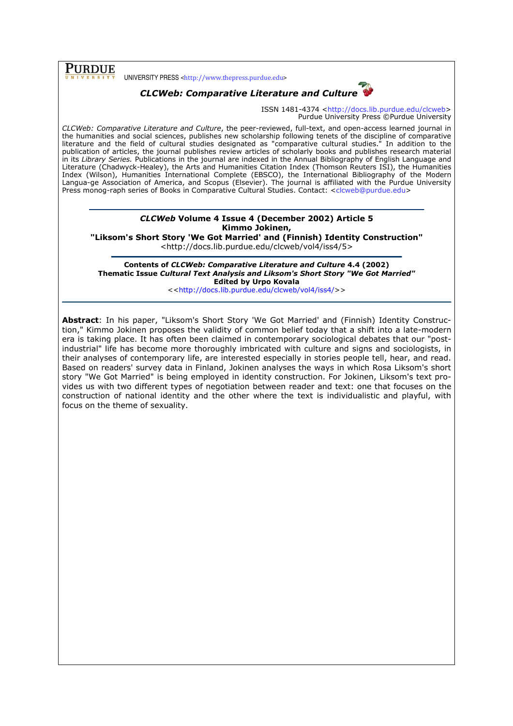## PURDUE

UNIVERSITY PRESS <http://www.thepress.purdue.edu>



ISSN 1481-4374 <http://docs.lib.purdue.edu/clcweb> Purdue University Press ©Purdue University

CLCWeb: Comparative Literature and Culture, the peer-reviewed, full-text, and open-access learned journal in the humanities and social sciences, publishes new scholarship following tenets of the discipline of comparative literature and the field of cultural studies designated as "comparative cultural studies." In addition to the publication of articles, the journal publishes review articles of scholarly books and publishes research material in its Library Series. Publications in the journal are indexed in the Annual Bibliography of English Language and Literature (Chadwyck-Healey), the Arts and Humanities Citation Index (Thomson Reuters ISI), the Humanities Index (Wilson), Humanities International Complete (EBSCO), the International Bibliography of the Modern Langua-ge Association of America, and Scopus (Elsevier). The journal is affiliated with the Purdue University Press monog-raph series of Books in Comparative Cultural Studies. Contact: <clcweb@purdue.edu>

## CLCWeb Volume 4 Issue 4 (December 2002) Article 5 Kimmo Jokinen,

"Liksom's Short Story 'We Got Married' and (Finnish) Identity Construction"

<http://docs.lib.purdue.edu/clcweb/vol4/iss4/5>

Contents of CLCWeb: Comparative Literature and Culture 4.4 (2002) Thematic Issue Cultural Text Analysis and Liksom's Short Story "We Got Married" Edited by Urpo Kovala

<<http://docs.lib.purdue.edu/clcweb/vol4/iss4/>>

Abstract: In his paper, "Liksom's Short Story 'We Got Married' and (Finnish) Identity Construction," Kimmo Jokinen proposes the validity of common belief today that a shift into a late-modern era is taking place. It has often been claimed in contemporary sociological debates that our "postindustrial" life has become more thoroughly imbricated with culture and signs and sociologists, in their analyses of contemporary life, are interested especially in stories people tell, hear, and read. Based on readers' survey data in Finland, Jokinen analyses the ways in which Rosa Liksom's short story "We Got Married" is being employed in identity construction. For Jokinen, Liksom's text provides us with two different types of negotiation between reader and text: one that focuses on the construction of national identity and the other where the text is individualistic and playful, with focus on the theme of sexuality.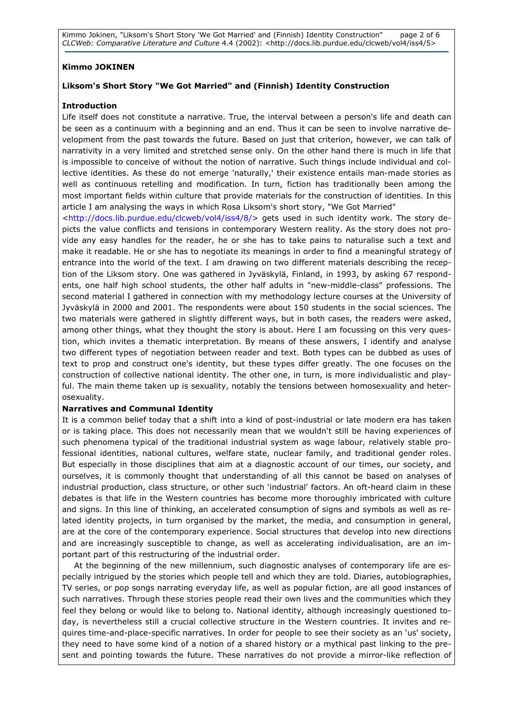Kimmo Jokinen, "Liksom's Short Story 'We Got Married' and (Finnish) Identity Construction" page 2 of 6 CLCWeb: Comparative Literature and Culture 4.4 (2002): <http://docs.lib.purdue.edu/clcweb/vol4/iss4/5>

#### Kimmo JOKINEN

### Liksom's Short Story "We Got Married" and (Finnish) Identity Construction

#### Introduction

Life itself does not constitute a narrative. True, the interval between a person's life and death can be seen as a continuum with a beginning and an end. Thus it can be seen to involve narrative development from the past towards the future. Based on just that criterion, however, we can talk of narrativity in a very limited and stretched sense only. On the other hand there is much in life that is impossible to conceive of without the notion of narrative. Such things include individual and collective identities. As these do not emerge 'naturally,' their existence entails man-made stories as well as continuous retelling and modification. In turn, fiction has traditionally been among the most important fields within culture that provide materials for the construction of identities. In this article I am analysing the ways in which Rosa Liksom's short story, "We Got Married"

<http://docs.lib.purdue.edu/clcweb/vol4/iss4/8/> gets used in such identity work. The story depicts the value conflicts and tensions in contemporary Western reality. As the story does not provide any easy handles for the reader, he or she has to take pains to naturalise such a text and make it readable. He or she has to negotiate its meanings in order to find a meaningful strategy of entrance into the world of the text. I am drawing on two different materials describing the reception of the Liksom story. One was gathered in Jyväskylä, Finland, in 1993, by asking 67 respondents, one half high school students, the other half adults in "new-middle-class" professions. The second material I gathered in connection with my methodology lecture courses at the University of Jyväskylä in 2000 and 2001. The respondents were about 150 students in the social sciences. The two materials were gathered in slightly different ways, but in both cases, the readers were asked, among other things, what they thought the story is about. Here I am focussing on this very question, which invites a thematic interpretation. By means of these answers, I identify and analyse two different types of negotiation between reader and text. Both types can be dubbed as uses of text to prop and construct one's identity, but these types differ greatly. The one focuses on the construction of collective national identity. The other one, in turn, is more individualistic and playful. The main theme taken up is sexuality, notably the tensions between homosexuality and heterosexuality.

#### Narratives and Communal Identity

It is a common belief today that a shift into a kind of post-industrial or late modern era has taken or is taking place. This does not necessarily mean that we wouldn't still be having experiences of such phenomena typical of the traditional industrial system as wage labour, relatively stable professional identities, national cultures, welfare state, nuclear family, and traditional gender roles. But especially in those disciplines that aim at a diagnostic account of our times, our society, and ourselves, it is commonly thought that understanding of all this cannot be based on analyses of industrial production, class structure, or other such 'industrial' factors. An oft-heard claim in these debates is that life in the Western countries has become more thoroughly imbricated with culture and signs. In this line of thinking, an accelerated consumption of signs and symbols as well as related identity projects, in turn organised by the market, the media, and consumption in general, are at the core of the contemporary experience. Social structures that develop into new directions and are increasingly susceptible to change, as well as accelerating individualisation, are an important part of this restructuring of the industrial order.

At the beginning of the new millennium, such diagnostic analyses of contemporary life are especially intrigued by the stories which people tell and which they are told. Diaries, autobiographies, TV series, or pop songs narrating everyday life, as well as popular fiction, are all good instances of such narratives. Through these stories people read their own lives and the communities which they feel they belong or would like to belong to. National identity, although increasingly questioned today, is nevertheless still a crucial collective structure in the Western countries. It invites and requires time-and-place-specific narratives. In order for people to see their society as an 'us' society, they need to have some kind of a notion of a shared history or a mythical past linking to the present and pointing towards the future. These narratives do not provide a mirror-like reflection of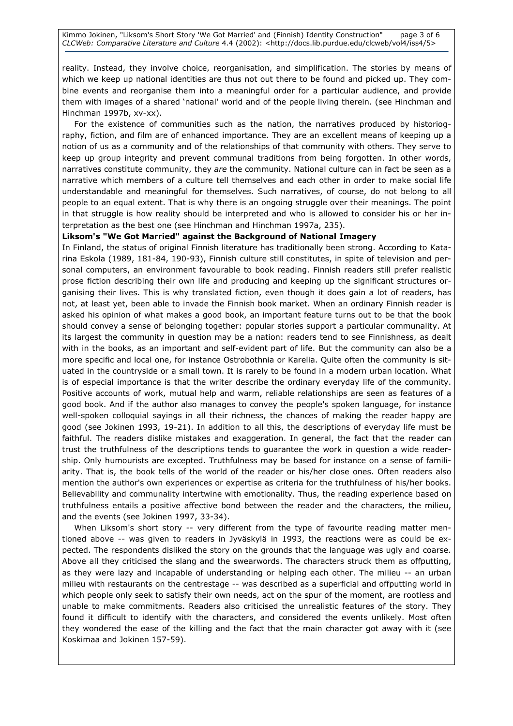reality. Instead, they involve choice, reorganisation, and simplification. The stories by means of which we keep up national identities are thus not out there to be found and picked up. They combine events and reorganise them into a meaningful order for a particular audience, and provide them with images of a shared 'national' world and of the people living therein. (see Hinchman and Hinchman 1997b, xv-xx).

 For the existence of communities such as the nation, the narratives produced by historiography, fiction, and film are of enhanced importance. They are an excellent means of keeping up a notion of us as a community and of the relationships of that community with others. They serve to keep up group integrity and prevent communal traditions from being forgotten. In other words, narratives constitute community, they are the community. National culture can in fact be seen as a narrative which members of a culture tell themselves and each other in order to make social life understandable and meaningful for themselves. Such narratives, of course, do not belong to all people to an equal extent. That is why there is an ongoing struggle over their meanings. The point in that struggle is how reality should be interpreted and who is allowed to consider his or her interpretation as the best one (see Hinchman and Hinchman 1997a, 235).

#### Liksom's "We Got Married" against the Background of National Imagery

In Finland, the status of original Finnish literature has traditionally been strong. According to Katarina Eskola (1989, 181-84, 190-93), Finnish culture still constitutes, in spite of television and personal computers, an environment favourable to book reading. Finnish readers still prefer realistic prose fiction describing their own life and producing and keeping up the significant structures organising their lives. This is why translated fiction, even though it does gain a lot of readers, has not, at least yet, been able to invade the Finnish book market. When an ordinary Finnish reader is asked his opinion of what makes a good book, an important feature turns out to be that the book should convey a sense of belonging together: popular stories support a particular communality. At its largest the community in question may be a nation: readers tend to see Finnishness, as dealt with in the books, as an important and self-evident part of life. But the community can also be a more specific and local one, for instance Ostrobothnia or Karelia. Quite often the community is situated in the countryside or a small town. It is rarely to be found in a modern urban location. What is of especial importance is that the writer describe the ordinary everyday life of the community. Positive accounts of work, mutual help and warm, reliable relationships are seen as features of a good book. And if the author also manages to convey the people's spoken language, for instance well-spoken colloquial sayings in all their richness, the chances of making the reader happy are good (see Jokinen 1993, 19-21). In addition to all this, the descriptions of everyday life must be faithful. The readers dislike mistakes and exaggeration. In general, the fact that the reader can trust the truthfulness of the descriptions tends to guarantee the work in question a wide readership. Only humourists are excepted. Truthfulness may be based for instance on a sense of familiarity. That is, the book tells of the world of the reader or his/her close ones. Often readers also mention the author's own experiences or expertise as criteria for the truthfulness of his/her books. Believability and communality intertwine with emotionality. Thus, the reading experience based on truthfulness entails a positive affective bond between the reader and the characters, the milieu, and the events (see Jokinen 1997, 33-34).

When Liksom's short story -- very different from the type of favourite reading matter mentioned above -- was given to readers in Jyväskylä in 1993, the reactions were as could be expected. The respondents disliked the story on the grounds that the language was ugly and coarse. Above all they criticised the slang and the swearwords. The characters struck them as offputting, as they were lazy and incapable of understanding or helping each other. The milieu -- an urban milieu with restaurants on the centrestage -- was described as a superficial and offputting world in which people only seek to satisfy their own needs, act on the spur of the moment, are rootless and unable to make commitments. Readers also criticised the unrealistic features of the story. They found it difficult to identify with the characters, and considered the events unlikely. Most often they wondered the ease of the killing and the fact that the main character got away with it (see Koskimaa and Jokinen 157-59).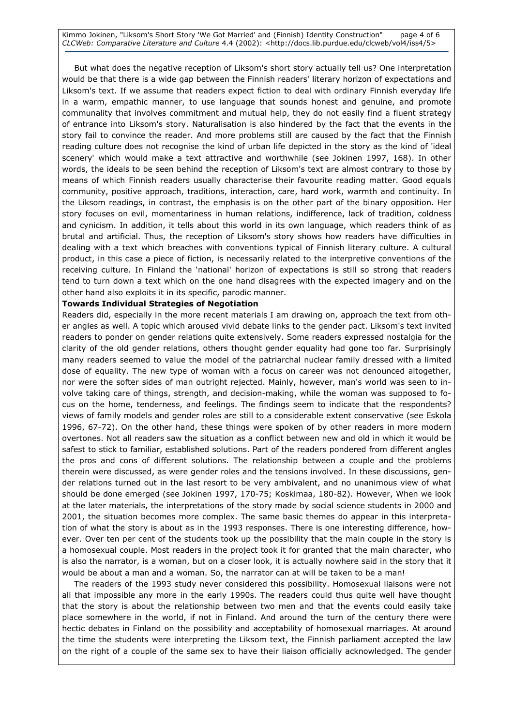Kimmo Jokinen, "Liksom's Short Story 'We Got Married' and (Finnish) Identity Construction" page 4 of 6 CLCWeb: Comparative Literature and Culture 4.4 (2002): <http://docs.lib.purdue.edu/clcweb/vol4/iss4/5>

 But what does the negative reception of Liksom's short story actually tell us? One interpretation would be that there is a wide gap between the Finnish readers' literary horizon of expectations and Liksom's text. If we assume that readers expect fiction to deal with ordinary Finnish everyday life in a warm, empathic manner, to use language that sounds honest and genuine, and promote communality that involves commitment and mutual help, they do not easily find a fluent strategy of entrance into Liksom's story. Naturalisation is also hindered by the fact that the events in the story fail to convince the reader. And more problems still are caused by the fact that the Finnish reading culture does not recognise the kind of urban life depicted in the story as the kind of 'ideal scenery' which would make a text attractive and worthwhile (see Jokinen 1997, 168). In other words, the ideals to be seen behind the reception of Liksom's text are almost contrary to those by means of which Finnish readers usually characterise their favourite reading matter. Good equals community, positive approach, traditions, interaction, care, hard work, warmth and continuity. In the Liksom readings, in contrast, the emphasis is on the other part of the binary opposition. Her story focuses on evil, momentariness in human relations, indifference, lack of tradition, coldness and cynicism. In addition, it tells about this world in its own language, which readers think of as brutal and artificial. Thus, the reception of Liksom's story shows how readers have difficulties in dealing with a text which breaches with conventions typical of Finnish literary culture. A cultural product, in this case a piece of fiction, is necessarily related to the interpretive conventions of the receiving culture. In Finland the 'national' horizon of expectations is still so strong that readers tend to turn down a text which on the one hand disagrees with the expected imagery and on the other hand also exploits it in its specific, parodic manner.

#### Towards Individual Strategies of Negotiation

Readers did, especially in the more recent materials I am drawing on, approach the text from other angles as well. A topic which aroused vivid debate links to the gender pact. Liksom's text invited readers to ponder on gender relations quite extensively. Some readers expressed nostalgia for the clarity of the old gender relations, others thought gender equality had gone too far. Surprisingly many readers seemed to value the model of the patriarchal nuclear family dressed with a limited dose of equality. The new type of woman with a focus on career was not denounced altogether, nor were the softer sides of man outright rejected. Mainly, however, man's world was seen to involve taking care of things, strength, and decision-making, while the woman was supposed to focus on the home, tenderness, and feelings. The findings seem to indicate that the respondents? views of family models and gender roles are still to a considerable extent conservative (see Eskola 1996, 67-72). On the other hand, these things were spoken of by other readers in more modern overtones. Not all readers saw the situation as a conflict between new and old in which it would be safest to stick to familiar, established solutions. Part of the readers pondered from different angles the pros and cons of different solutions. The relationship between a couple and the problems therein were discussed, as were gender roles and the tensions involved. In these discussions, gender relations turned out in the last resort to be very ambivalent, and no unanimous view of what should be done emerged (see Jokinen 1997, 170-75; Koskimaa, 180-82). However, When we look at the later materials, the interpretations of the story made by social science students in 2000 and 2001, the situation becomes more complex. The same basic themes do appear in this interpretation of what the story is about as in the 1993 responses. There is one interesting difference, however. Over ten per cent of the students took up the possibility that the main couple in the story is a homosexual couple. Most readers in the project took it for granted that the main character, who is also the narrator, is a woman, but on a closer look, it is actually nowhere said in the story that it would be about a man and a woman. So, the narrator can at will be taken to be a man!

 The readers of the 1993 study never considered this possibility. Homosexual liaisons were not all that impossible any more in the early 1990s. The readers could thus quite well have thought that the story is about the relationship between two men and that the events could easily take place somewhere in the world, if not in Finland. And around the turn of the century there were hectic debates in Finland on the possibility and acceptability of homosexual marriages. At around the time the students were interpreting the Liksom text, the Finnish parliament accepted the law on the right of a couple of the same sex to have their liaison officially acknowledged. The gender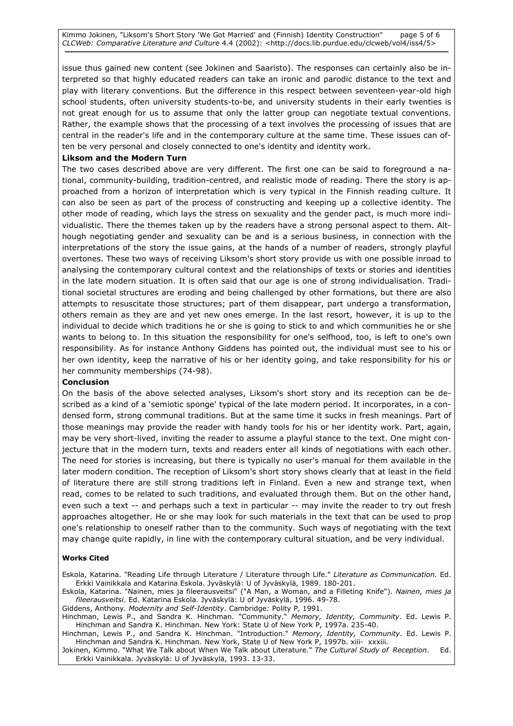Kimmo Jokinen, "Liksom's Short Story 'We Got Married' and (Finnish) Identity Construction" page 5 of 6 CLCWeb: Comparative Literature and Culture 4.4 (2002): <http://docs.lib.purdue.edu/clcweb/vol4/iss4/5>

issue thus gained new content (see Jokinen and Saaristo). The responses can certainly also be interpreted so that highly educated readers can take an ironic and parodic distance to the text and play with literary conventions. But the difference in this respect between seventeen-year-old high school students, often university students-to-be, and university students in their early twenties is not great enough for us to assume that only the latter group can negotiate textual conventions. Rather, the example shows that the processing of a text involves the processing of issues that are central in the reader's life and in the contemporary culture at the same time. These issues can often be very personal and closely connected to one's identity and identity work.

#### Liksom and the Modern Turn

The two cases described above are very different. The first one can be said to foreground a national, community-building, tradition-centred, and realistic mode of reading. There the story is approached from a horizon of interpretation which is very typical in the Finnish reading culture. It can also be seen as part of the process of constructing and keeping up a collective identity. The other mode of reading, which lays the stress on sexuality and the gender pact, is much more individualistic. There the themes taken up by the readers have a strong personal aspect to them. Although negotiating gender and sexuality can be and is a serious business, in connection with the interpretations of the story the issue gains, at the hands of a number of readers, strongly playful overtones. These two ways of receiving Liksom's short story provide us with one possible inroad to analysing the contemporary cultural context and the relationships of texts or stories and identities in the late modern situation. It is often said that our age is one of strong individualisation. Traditional societal structures are eroding and being challenged by other formations, but there are also attempts to resuscitate those structures; part of them disappear, part undergo a transformation, others remain as they are and yet new ones emerge. In the last resort, however, it is up to the individual to decide which traditions he or she is going to stick to and which communities he or she wants to belong to. In this situation the responsibility for one's selfhood, too, is left to one's own responsibility. As for instance Anthony Giddens has pointed out, the individual must see to his or her own identity, keep the narrative of his or her identity going, and take responsibility for his or her community memberships (74-98).

#### Conclusion

On the basis of the above selected analyses, Liksom's short story and its reception can be described as a kind of a 'semiotic sponge' typical of the late modern period. It incorporates, in a condensed form, strong communal traditions. But at the same time it sucks in fresh meanings. Part of those meanings may provide the reader with handy tools for his or her identity work. Part, again, may be very short-lived, inviting the reader to assume a playful stance to the text. One might conjecture that in the modern turn, texts and readers enter all kinds of negotiations with each other. The need for stories is increasing, but there is typically no user's manual for them available in the later modern condition. The reception of Liksom's short story shows clearly that at least in the field of literature there are still strong traditions left in Finland. Even a new and strange text, when read, comes to be related to such traditions, and evaluated through them. But on the other hand, even such a text -- and perhaps such a text in particular -- may invite the reader to try out fresh approaches altogether. He or she may look for such materials in the text that can be used to prop one's relationship to oneself rather than to the community. Such ways of negotiating with the text may change quite rapidly, in line with the contemporary cultural situation, and be very individual.

#### Works Cited

Eskola, Katarina. "Reading Life through Literature / Literature through Life." Literature as Communication. Ed. Erkki Vainikkala and Katarina Eskola. Jyväskylä: U of Jyväskylä, 1989. 180-201.

Eskola, Katarina. "Nainen, mies ja fileerausveitsi" ("A Man, a Woman, and a Filleting Knife"). Nainen, mies ja fileerausveitsi. Ed. Katarina Eskola. Jyväskylä: U of Jyväskylä, 1996. 49-78.

Giddens, Anthony. Modernity and Self-Identity. Cambridge: Polity P, 1991.

Hinchman, Lewis P., and Sandra K. Hinchman. "Community." Memory, Identity, Community. Ed. Lewis P. Hinchman and Sandra K. Hinchman. New York: State U of New York P, 1997a. 235-40.

Hinchman, Lewis P., and Sandra K. Hinchman. "Introduction." *Memory, Identity, Community*. Ed. Lewis P. Hinchman and Sandra K. Hinchman. New York, State U of New York P, 1997b. xiii- xxxiii.

Jokinen, Kimmo. "What We Talk about When We Talk about Literature." The Cultural Study of Reception. Ed. Erkki Vainikkala. Jyväskylä: U of Jyväskylä, 1993. 13-33.